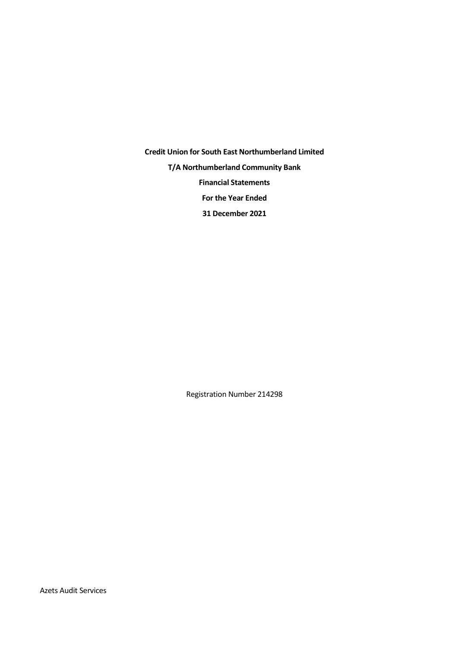**Credit Union for South East Northumberland Limited T/A Northumberland Community Bank Financial Statements For the Year Ended 31 December 2021**

Registration Number 214298

Azets Audit Services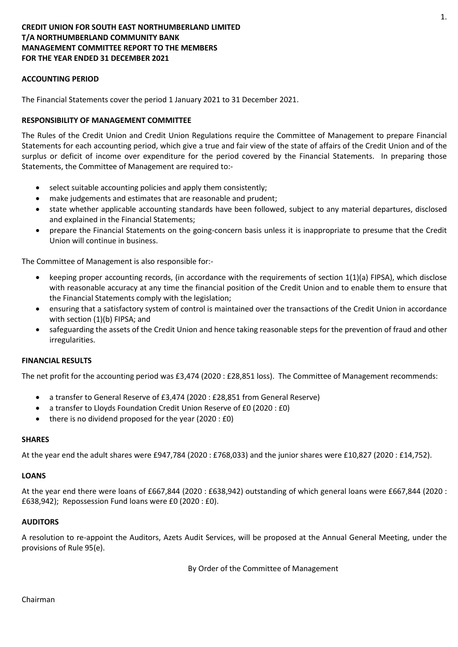## **CREDIT UNION FOR SOUTH EAST NORTHUMBERLAND LIMITED T/A NORTHUMBERLAND COMMUNITY BANK MANAGEMENT COMMITTEE REPORT TO THE MEMBERS FOR THE YEAR ENDED 31 DECEMBER 2021**

## **ACCOUNTING PERIOD**

The Financial Statements cover the period 1 January 2021 to 31 December 2021.

### **RESPONSIBILITY OF MANAGEMENT COMMITTEE**

The Rules of the Credit Union and Credit Union Regulations require the Committee of Management to prepare Financial Statements for each accounting period, which give a true and fair view of the state of affairs of the Credit Union and of the surplus or deficit of income over expenditure for the period covered by the Financial Statements. In preparing those Statements, the Committee of Management are required to:-

- select suitable accounting policies and apply them consistently;
- make judgements and estimates that are reasonable and prudent;
- state whether applicable accounting standards have been followed, subject to any material departures, disclosed and explained in the Financial Statements;
- prepare the Financial Statements on the going-concern basis unless it is inappropriate to presume that the Credit Union will continue in business.

The Committee of Management is also responsible for:-

- keeping proper accounting records, (in accordance with the requirements of section 1(1)(a) FIPSA), which disclose with reasonable accuracy at any time the financial position of the Credit Union and to enable them to ensure that the Financial Statements comply with the legislation;
- ensuring that a satisfactory system of control is maintained over the transactions of the Credit Union in accordance with section (1)(b) FIPSA; and
- safeguarding the assets of the Credit Union and hence taking reasonable steps for the prevention of fraud and other irregularities.

### **FINANCIAL RESULTS**

The net profit for the accounting period was £3,474 (2020 : £28,851 loss). The Committee of Management recommends:

- a transfer to General Reserve of £3,474 (2020 : £28,851 from General Reserve)
- a transfer to Lloyds Foundation Credit Union Reserve of £0 (2020 : £0)
- there is no dividend proposed for the year (2020 : £0)

#### **SHARES**

At the year end the adult shares were £947,784 (2020 : £768,033) and the junior shares were £10,827 (2020 : £14,752).

### **LOANS**

At the year end there were loans of £667,844 (2020 : £638,942) outstanding of which general loans were £667,844 (2020 : £638,942); Repossession Fund loans were £0 (2020 : £0).

### **AUDITORS**

A resolution to re-appoint the Auditors, Azets Audit Services, will be proposed at the Annual General Meeting, under the provisions of Rule 95(e).

By Order of the Committee of Management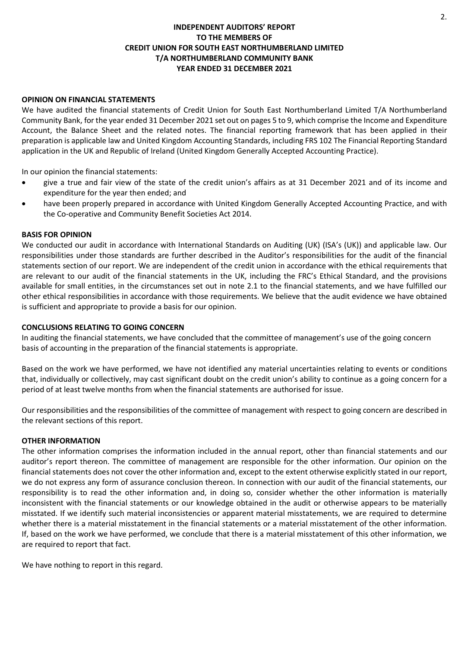## **INDEPENDENT AUDITORS' REPORT TO THE MEMBERS OF CREDIT UNION FOR SOUTH EAST NORTHUMBERLAND LIMITED T/A NORTHUMBERLAND COMMUNITY BANK YEAR ENDED 31 DECEMBER 2021**

### **OPINION ON FINANCIAL STATEMENTS**

We have audited the financial statements of Credit Union for South East Northumberland Limited T/A Northumberland Community Bank, for the year ended 31 December 2021 set out on pages 5 to 9, which comprise the Income and Expenditure Account, the Balance Sheet and the related notes. The financial reporting framework that has been applied in their preparation is applicable law and United Kingdom Accounting Standards, including FRS 102 The Financial Reporting Standard application in the UK and Republic of Ireland (United Kingdom Generally Accepted Accounting Practice).

In our opinion the financial statements:

- give a true and fair view of the state of the credit union's affairs as at 31 December 2021 and of its income and expenditure for the year then ended; and
- have been properly prepared in accordance with United Kingdom Generally Accepted Accounting Practice, and with the Co-operative and Community Benefit Societies Act 2014.

#### **BASIS FOR OPINION**

We conducted our audit in accordance with International Standards on Auditing (UK) (ISA's (UK)) and applicable law. Our responsibilities under those standards are further described in the Auditor's responsibilities for the audit of the financial statements section of our report. We are independent of the credit union in accordance with the ethical requirements that are relevant to our audit of the financial statements in the UK, including the FRC's Ethical Standard, and the provisions available for small entities, in the circumstances set out in note 2.1 to the financial statements, and we have fulfilled our other ethical responsibilities in accordance with those requirements. We believe that the audit evidence we have obtained is sufficient and appropriate to provide a basis for our opinion.

#### **CONCLUSIONS RELATING TO GOING CONCERN**

In auditing the financial statements, we have concluded that the committee of management's use of the going concern basis of accounting in the preparation of the financial statements is appropriate.

Based on the work we have performed, we have not identified any material uncertainties relating to events or conditions that, individually or collectively, may cast significant doubt on the credit union's ability to continue as a going concern for a period of at least twelve months from when the financial statements are authorised for issue.

Our responsibilities and the responsibilities of the committee of management with respect to going concern are described in the relevant sections of this report.

#### **OTHER INFORMATION**

The other information comprises the information included in the annual report, other than financial statements and our auditor's report thereon. The committee of management are responsible for the other information. Our opinion on the financial statements does not cover the other information and, except to the extent otherwise explicitly stated in our report, we do not express any form of assurance conclusion thereon. In connection with our audit of the financial statements, our responsibility is to read the other information and, in doing so, consider whether the other information is materially inconsistent with the financial statements or our knowledge obtained in the audit or otherwise appears to be materially misstated. If we identify such material inconsistencies or apparent material misstatements, we are required to determine whether there is a material misstatement in the financial statements or a material misstatement of the other information. If, based on the work we have performed, we conclude that there is a material misstatement of this other information, we are required to report that fact.

We have nothing to report in this regard.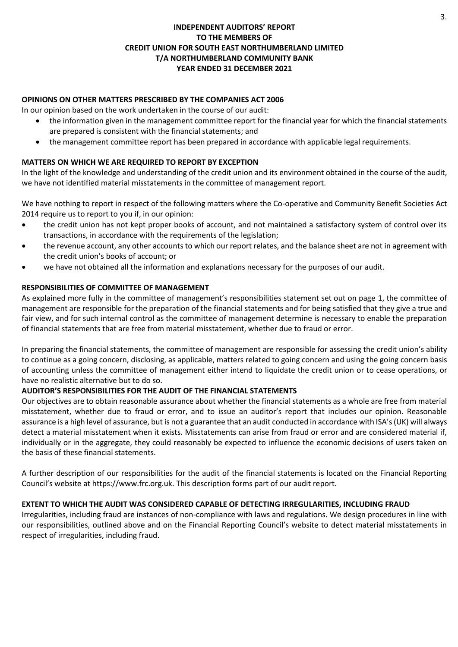## **INDEPENDENT AUDITORS' REPORT TO THE MEMBERS OF CREDIT UNION FOR SOUTH EAST NORTHUMBERLAND LIMITED T/A NORTHUMBERLAND COMMUNITY BANK YEAR ENDED 31 DECEMBER 2021**

## **OPINIONS ON OTHER MATTERS PRESCRIBED BY THE COMPANIES ACT 2006**

In our opinion based on the work undertaken in the course of our audit:

- the information given in the management committee report for the financial year for which the financial statements are prepared is consistent with the financial statements; and
- the management committee report has been prepared in accordance with applicable legal requirements.

## **MATTERS ON WHICH WE ARE REQUIRED TO REPORT BY EXCEPTION**

In the light of the knowledge and understanding of the credit union and its environment obtained in the course of the audit, we have not identified material misstatements in the committee of management report.

We have nothing to report in respect of the following matters where the Co-operative and Community Benefit Societies Act 2014 require us to report to you if, in our opinion:

- the credit union has not kept proper books of account, and not maintained a satisfactory system of control over its transactions, in accordance with the requirements of the legislation;
- the revenue account, any other accounts to which our report relates, and the balance sheet are not in agreement with the credit union's books of account; or
- we have not obtained all the information and explanations necessary for the purposes of our audit.

## **RESPONSIBILITIES OF COMMITTEE OF MANAGEMENT**

As explained more fully in the committee of management's responsibilities statement set out on page 1, the committee of management are responsible for the preparation of the financial statements and for being satisfied that they give a true and fair view, and for such internal control as the committee of management determine is necessary to enable the preparation of financial statements that are free from material misstatement, whether due to fraud or error.

In preparing the financial statements, the committee of management are responsible for assessing the credit union's ability to continue as a going concern, disclosing, as applicable, matters related to going concern and using the going concern basis of accounting unless the committee of management either intend to liquidate the credit union or to cease operations, or have no realistic alternative but to do so.

## **AUDITOR'S RESPONSIBILITIES FOR THE AUDIT OF THE FINANCIAL STATEMENTS**

Our objectives are to obtain reasonable assurance about whether the financial statements as a whole are free from material misstatement, whether due to fraud or error, and to issue an auditor's report that includes our opinion. Reasonable assurance is a high level of assurance, but is not a guarantee that an audit conducted in accordance with ISA's (UK) will always detect a material misstatement when it exists. Misstatements can arise from fraud or error and are considered material if, individually or in the aggregate, they could reasonably be expected to influence the economic decisions of users taken on the basis of these financial statements.

A further description of our responsibilities for the audit of the financial statements is located on the Financial Reporting Council's website at https://www.frc.org.uk. This description forms part of our audit report.

## **EXTENT TO WHICH THE AUDIT WAS CONSIDERED CAPABLE OF DETECTING IRREGULARITIES, INCLUDING FRAUD**

Irregularities, including fraud are instances of non-compliance with laws and regulations. We design procedures in line with our responsibilities, outlined above and on the Financial Reporting Council's website to detect material misstatements in respect of irregularities, including fraud.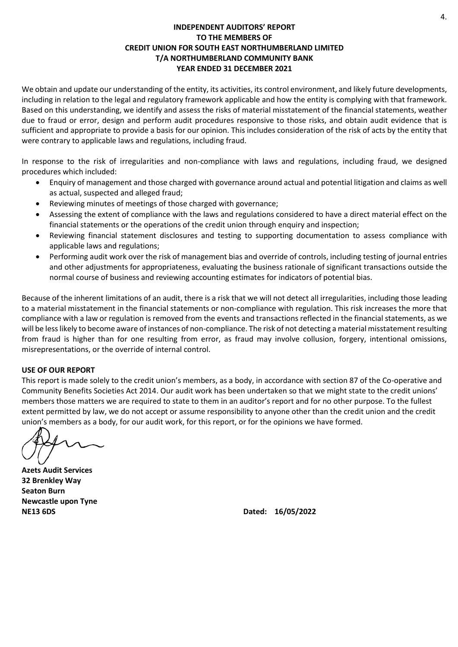## **INDEPENDENT AUDITORS' REPORT TO THE MEMBERS OF CREDIT UNION FOR SOUTH EAST NORTHUMBERLAND LIMITED T/A NORTHUMBERLAND COMMUNITY BANK YEAR ENDED 31 DECEMBER 2021**

We obtain and update our understanding of the entity, its activities, its control environment, and likely future developments, including in relation to the legal and regulatory framework applicable and how the entity is complying with that framework. Based on this understanding, we identify and assess the risks of material misstatement of the financial statements, weather due to fraud or error, design and perform audit procedures responsive to those risks, and obtain audit evidence that is sufficient and appropriate to provide a basis for our opinion. This includes consideration of the risk of acts by the entity that were contrary to applicable laws and regulations, including fraud.

In response to the risk of irregularities and non-compliance with laws and regulations, including fraud, we designed procedures which included:

- Enquiry of management and those charged with governance around actual and potential litigation and claims as well as actual, suspected and alleged fraud;
- Reviewing minutes of meetings of those charged with governance;
- Assessing the extent of compliance with the laws and regulations considered to have a direct material effect on the financial statements or the operations of the credit union through enquiry and inspection;
- Reviewing financial statement disclosures and testing to supporting documentation to assess compliance with applicable laws and regulations;
- Performing audit work over the risk of management bias and override of controls, including testing of journal entries and other adjustments for appropriateness, evaluating the business rationale of significant transactions outside the normal course of business and reviewing accounting estimates for indicators of potential bias.

Because of the inherent limitations of an audit, there is a risk that we will not detect all irregularities, including those leading to a material misstatement in the financial statements or non-compliance with regulation. This risk increases the more that compliance with a law or regulation is removed from the events and transactions reflected in the financial statements, as we will be less likely to become aware of instances of non-compliance. The risk of not detecting a material misstatement resulting from fraud is higher than for one resulting from error, as fraud may involve collusion, forgery, intentional omissions, misrepresentations, or the override of internal control.

### **USE OF OUR REPORT**

This report is made solely to the credit union's members, as a body, in accordance with section 87 of the Co-operative and Community Benefits Societies Act 2014. Our audit work has been undertaken so that we might state to the credit unions' members those matters we are required to state to them in an auditor's report and for no other purpose. To the fullest extent permitted by law, we do not accept or assume responsibility to anyone other than the credit union and the credit union's members as a body, for our audit work, for this report, or for the opinions we have formed.

**Azets Audit Services 32 Brenkley Way Seaton Burn Newcastle upon Tyne NE13 6DS Dated: 16/05/2022**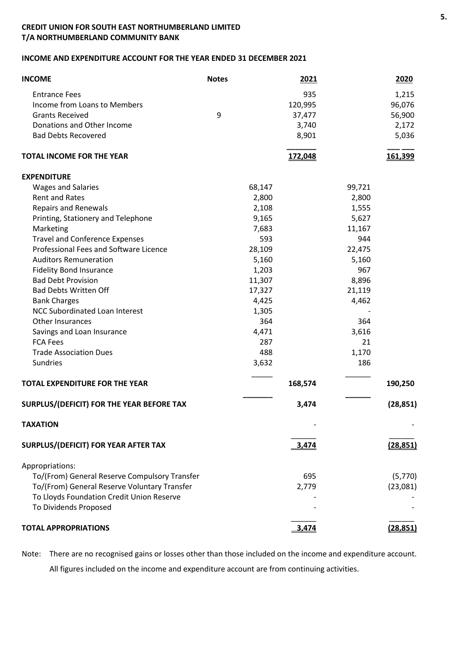## **INCOME AND EXPENDITURE ACCOUNT FOR THE YEAR ENDED 31 DECEMBER 2021**

| <b>INCOME</b>                                 | <b>Notes</b> |        | 2021    |        | 2020      |
|-----------------------------------------------|--------------|--------|---------|--------|-----------|
| <b>Entrance Fees</b>                          |              |        | 935     |        | 1,215     |
| Income from Loans to Members                  |              |        | 120,995 |        | 96,076    |
| <b>Grants Received</b>                        | 9            |        | 37,477  |        | 56,900    |
| Donations and Other Income                    |              |        | 3,740   |        | 2,172     |
| <b>Bad Debts Recovered</b>                    |              |        | 8,901   |        | 5,036     |
| <b>TOTAL INCOME FOR THE YEAR</b>              |              |        | 172,048 |        | 161,399   |
| <b>EXPENDITURE</b>                            |              |        |         |        |           |
| <b>Wages and Salaries</b>                     |              | 68,147 |         | 99,721 |           |
| <b>Rent and Rates</b>                         |              | 2,800  |         | 2,800  |           |
| <b>Repairs and Renewals</b>                   |              | 2,108  |         | 1,555  |           |
| Printing, Stationery and Telephone            |              | 9,165  |         | 5,627  |           |
| Marketing                                     |              | 7,683  |         | 11,167 |           |
| <b>Travel and Conference Expenses</b>         |              | 593    |         | 944    |           |
| Professional Fees and Software Licence        |              | 28,109 |         | 22,475 |           |
| <b>Auditors Remuneration</b>                  |              | 5,160  |         | 5,160  |           |
| <b>Fidelity Bond Insurance</b>                |              | 1,203  |         | 967    |           |
| <b>Bad Debt Provision</b>                     |              | 11,307 |         | 8,896  |           |
| <b>Bad Debts Written Off</b>                  |              | 17,327 |         | 21,119 |           |
| <b>Bank Charges</b>                           |              | 4,425  |         | 4,462  |           |
| <b>NCC Subordinated Loan Interest</b>         |              | 1,305  |         |        |           |
| Other Insurances                              |              | 364    |         | 364    |           |
| Savings and Loan Insurance                    |              | 4,471  |         | 3,616  |           |
| <b>FCA Fees</b>                               |              | 287    |         | 21     |           |
| <b>Trade Association Dues</b>                 |              | 488    |         | 1,170  |           |
| Sundries                                      |              | 3,632  |         | 186    |           |
| <b>TOTAL EXPENDITURE FOR THE YEAR</b>         |              |        | 168,574 |        | 190,250   |
| SURPLUS/(DEFICIT) FOR THE YEAR BEFORE TAX     |              |        | 3,474   |        | (28, 851) |
| <b>TAXATION</b>                               |              |        |         |        |           |
| SURPLUS/(DEFICIT) FOR YEAR AFTER TAX          |              |        | 3,474   |        | (28, 851) |
| Appropriations:                               |              |        |         |        |           |
| To/(From) General Reserve Compulsory Transfer |              |        | 695     |        | (5,770)   |
| To/(From) General Reserve Voluntary Transfer  |              |        | 2,779   |        | (23,081)  |
| To Lloyds Foundation Credit Union Reserve     |              |        |         |        |           |
| To Dividends Proposed                         |              |        |         |        |           |
|                                               |              |        |         |        |           |
| <b>TOTAL APPROPRIATIONS</b>                   |              |        | 3,474   |        | (28, 851) |

Note: There are no recognised gains or losses other than those included on the income and expenditure account. All figures included on the income and expenditure account are from continuing activities.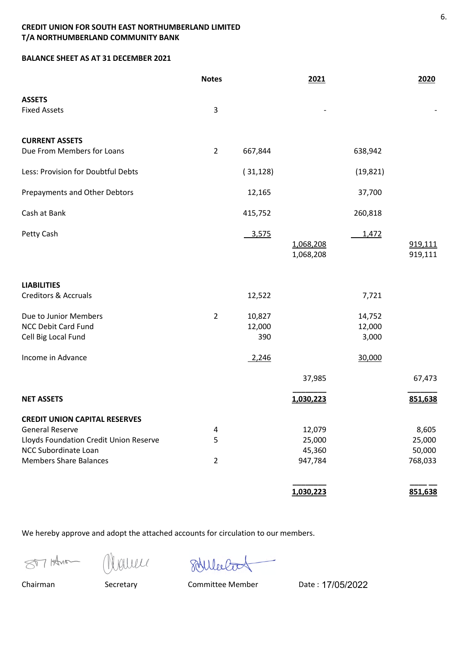## **BALANCE SHEET AS AT 31 DECEMBER 2021**

|                                        | <b>Notes</b>   |           | 2021                   |           | 2020               |
|----------------------------------------|----------------|-----------|------------------------|-----------|--------------------|
| <b>ASSETS</b>                          |                |           |                        |           |                    |
| <b>Fixed Assets</b>                    | 3              |           |                        |           |                    |
| <b>CURRENT ASSETS</b>                  |                |           |                        |           |                    |
| Due From Members for Loans             | $\overline{2}$ | 667,844   |                        | 638,942   |                    |
| Less: Provision for Doubtful Debts     |                | (31, 128) |                        | (19, 821) |                    |
| Prepayments and Other Debtors          |                | 12,165    |                        | 37,700    |                    |
| Cash at Bank                           |                | 415,752   |                        | 260,818   |                    |
| Petty Cash                             |                | 3,575     |                        | 1,472     |                    |
|                                        |                |           | 1,068,208<br>1,068,208 |           | 919,111<br>919,111 |
| <b>LIABILITIES</b>                     |                |           |                        |           |                    |
| <b>Creditors &amp; Accruals</b>        |                | 12,522    |                        | 7,721     |                    |
| Due to Junior Members                  | $\overline{2}$ | 10,827    |                        | 14,752    |                    |
| <b>NCC Debit Card Fund</b>             |                | 12,000    |                        | 12,000    |                    |
| Cell Big Local Fund                    |                | 390       |                        | 3,000     |                    |
| Income in Advance                      |                | 2,246     |                        | 30,000    |                    |
|                                        |                |           | 37,985                 |           | 67,473             |
| <b>NET ASSETS</b>                      |                |           | 1,030,223              |           | 851,638            |
| <b>CREDIT UNION CAPITAL RESERVES</b>   |                |           |                        |           |                    |
| <b>General Reserve</b>                 | 4              |           | 12,079                 |           | 8,605              |
| Lloyds Foundation Credit Union Reserve | 5              |           | 25,000                 |           | 25,000             |
| NCC Subordinate Loan                   |                |           | 45,360                 |           | 50,000             |
| <b>Members Share Balances</b>          | $\overline{2}$ |           | 947,784                |           | 768,033            |
|                                        |                |           | 1,030,223              |           | 851,638            |

We hereby approve and adopt the attached accounts for circulation to our members.

STA Han Welles Student

Chairman Secretary Committee Member Date : 17/05/2022

6.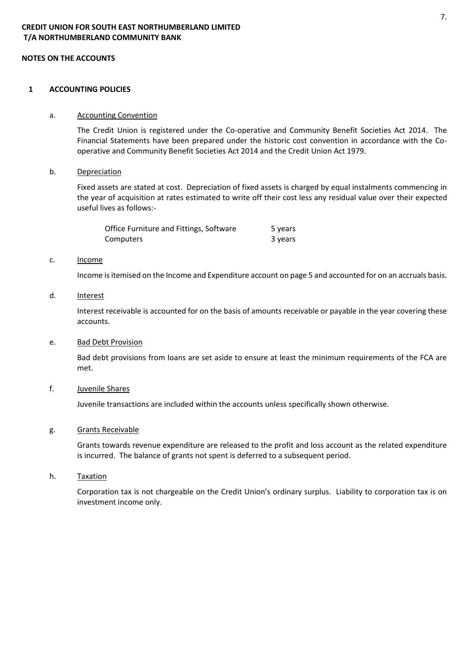#### **1 ACCOUNTING POLICIES**

#### a. Accounting Convention

The Credit Union is registered under the Co-operative and Community Benefit Societies Act 2014. The Financial Statements have been prepared under the historic cost convention in accordance with the Cooperative and Community Benefit Societies Act 2014 and the Credit Union Act 1979.

#### b. Depreciation

Fixed assets are stated at cost. Depreciation of fixed assets is charged by equal instalments commencing in the year of acquisition at rates estimated to write off their cost less any residual value over their expected useful lives as follows:-

| Office Furniture and Fittings, Software | 5 years |
|-----------------------------------------|---------|
| Computers                               | 3 years |

#### c. Income

Income is itemised on the Income and Expenditure account on page 5 and accounted for on an accruals basis.

d. Interest

Interest receivable is accounted for on the basis of amounts receivable or payable in the year covering these accounts.

e. Bad Debt Provision

Bad debt provisions from loans are set aside to ensure at least the minimum requirements of the FCA are met.

#### f. Juvenile Shares

Juvenile transactions are included within the accounts unless specifically shown otherwise.

#### g. Grants Receivable

Grants towards revenue expenditure are released to the profit and loss account as the related expenditure is incurred. The balance of grants not spent is deferred to a subsequent period.

h. Taxation

Corporation tax is not chargeable on the Credit Union's ordinary surplus. Liability to corporation tax is on investment income only.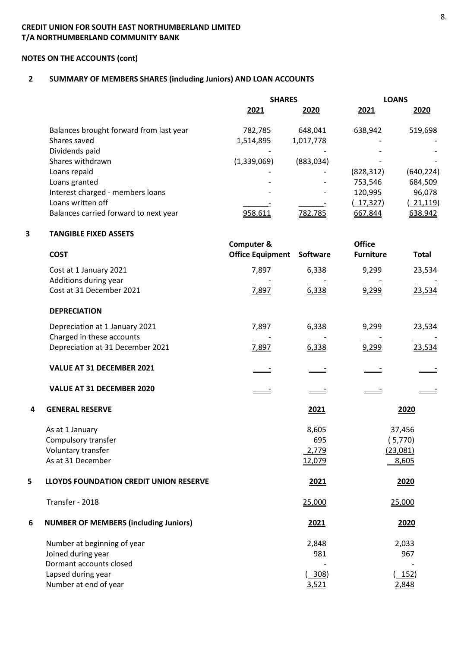# **NOTES ON THE ACCOUNTS (cont)**

# **2 SUMMARY OF MEMBERS SHARES (including Juniors) AND LOAN ACCOUNTS**

|   |                                               | <b>SHARES</b>           |            | <b>LOANS</b>     |              |
|---|-----------------------------------------------|-------------------------|------------|------------------|--------------|
|   |                                               | 2021                    | 2020       | 2021             | 2020         |
|   | Balances brought forward from last year       | 782,785                 | 648,041    | 638,942          | 519,698      |
|   | Shares saved                                  | 1,514,895               | 1,017,778  |                  |              |
|   | Dividends paid                                |                         |            |                  |              |
|   | Shares withdrawn                              | (1,339,069)             | (883, 034) |                  |              |
|   | Loans repaid                                  |                         |            | (828, 312)       | (640, 224)   |
|   | Loans granted                                 |                         |            | 753,546          | 684,509      |
|   | Interest charged - members loans              |                         |            | 120,995          | 96,078       |
|   | Loans written off                             |                         |            | (17, 327)        | (21, 119)    |
|   | Balances carried forward to next year         | 958,611                 | 782,785    | 667,844          | 638,942      |
| 3 | <b>TANGIBLE FIXED ASSETS</b>                  |                         |            |                  |              |
|   |                                               | <b>Computer &amp;</b>   |            | <b>Office</b>    |              |
|   | <b>COST</b>                                   | <b>Office Equipment</b> | Software   | <b>Furniture</b> | <b>Total</b> |
|   | Cost at 1 January 2021                        | 7,897                   | 6,338      | 9,299            | 23,534       |
|   | Additions during year                         |                         |            |                  |              |
|   | Cost at 31 December 2021                      | 7,897                   | 6,338      | 9,299            | 23,534       |
|   | <b>DEPRECIATION</b>                           |                         |            |                  |              |
|   | Depreciation at 1 January 2021                | 7,897                   | 6,338      | 9,299            | 23,534       |
|   | Charged in these accounts                     |                         |            |                  |              |
|   | Depreciation at 31 December 2021              | 7,897                   | 6,338      | 9,299            | 23,534       |
|   | VALUE AT 31 DECEMBER 2021                     |                         |            |                  |              |
|   | VALUE AT 31 DECEMBER 2020                     |                         |            |                  |              |
| 4 | <b>GENERAL RESERVE</b>                        |                         | 2021       |                  | 2020         |
|   | As at 1 January                               |                         | 8,605      |                  | 37,456       |
|   | Compulsory transfer                           |                         | 695        |                  | (5,770)      |
|   | Voluntary transfer                            |                         | 2,779      |                  | (23,081)     |
|   | As at 31 December                             |                         | 12,079     |                  | 8,605        |
| 5 | <b>LLOYDS FOUNDATION CREDIT UNION RESERVE</b> |                         | 2021       |                  | 2020         |
|   | Transfer - 2018                               |                         | 25,000     |                  | 25,000       |
| 6 | <b>NUMBER OF MEMBERS (including Juniors)</b>  |                         | 2021       |                  | 2020         |
|   | Number at beginning of year                   |                         | 2,848      |                  | 2,033        |
|   | Joined during year                            |                         | 981        |                  | 967          |
|   | Dormant accounts closed                       |                         |            |                  |              |
|   | Lapsed during year                            |                         | $-308)$    |                  | 152)         |
|   | Number at end of year                         |                         | 3,521      |                  | 2,848        |